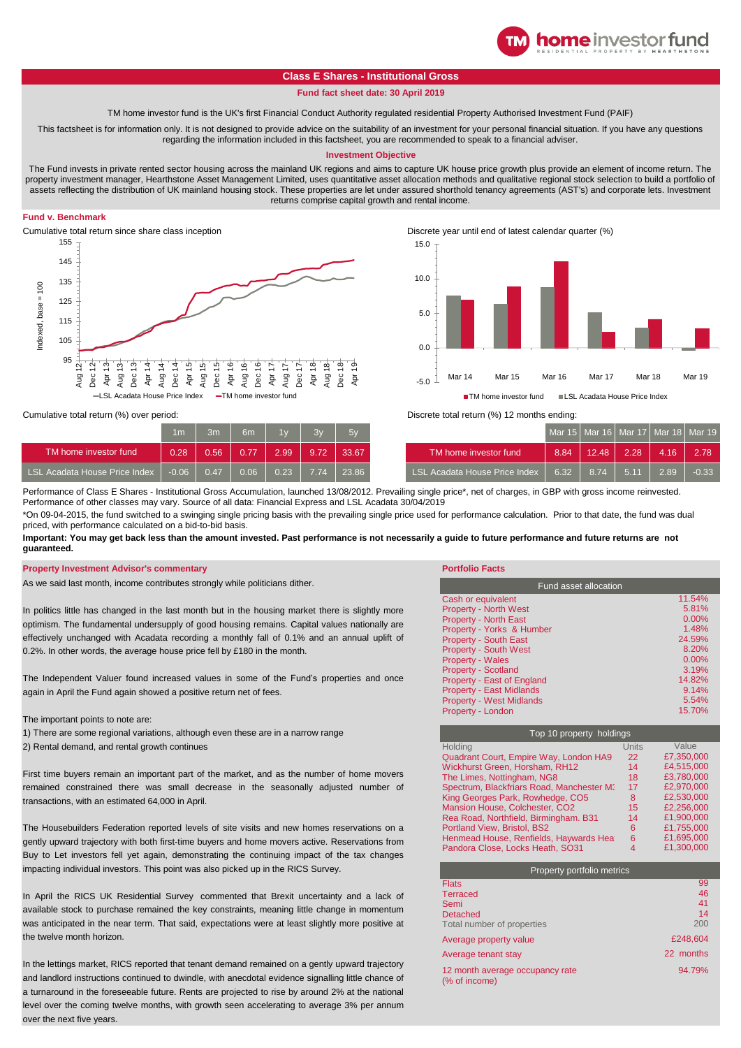# **Class E Shares - Institutional Gross**

## **Fund fact sheet date: 30 April 2019**

TM home investor fund is the UK's first Financial Conduct Authority regulated residential Property Authorised Investment Fund (PAIF)

This factsheet is for information only. It is not designed to provide advice on the suitability of an investment for your personal financial situation. If you have any questions regarding the information included in this factsheet, you are recommended to speak to a financial adviser.

### **Investment Objective**

The Fund invests in private rented sector housing across the mainland UK regions and aims to capture UK house price growth plus provide an element of income return. The property investment manager, Hearthstone Asset Management Limited, uses quantitative asset allocation methods and qualitative regional stock selection to build a portfolio of assets reflecting the distribution of UK mainland housing stock. These properties are let under assured shorthold tenancy agreements (AST's) and corporate lets. Investment returns comprise capital growth and rental income.

# **Fund v. Benchmark**

Cumulative total return since share class inception Discrete year until end of latest calendar quarter (%) 155 145 135 ndexed, base = 100 Indexed, base = 100 125 115 105 95 Aug 12 Dec 12 Apr 13 Dec 13 Apr 14 Dec 14 Apr 15 Aug 15 Dec 15 Apr 16 Dec 17 Apr 18 Apr 19 Aug<sup>-</sup> Aug 17 Aug 18 Aug Aug  $Dec$  $\overline{A}$ pr Dec 18 Acadata House Price Index TM home investor fund

-5.0  $0<sup>0</sup>$ 5.0 10.0 15.0 Mar 14 Mar 15 Mar 16 Mar 17 Mar 18 Mar 19 ■ TM home investor fund ■ LSL Acadata House Price Index

**home** investor fund

Cumulative total return (%) over period:

|                               | 1 <sub>m</sub> | 3m   | 6m    | 1w   | 3v   | $-5v$ |                                      |
|-------------------------------|----------------|------|-------|------|------|-------|--------------------------------------|
| TM home investor fund         | 0.28           | 0.56 | 0.77  | 2.99 | 9.72 | 33.67 | TM home investor fund                |
| LSL Acadata House Price Index | $-0.06$        | 0.47 | 0.061 | 0.23 | 7.74 | 23.86 | <b>LSL Acadata House Price Index</b> |

Discrete total return (%) 12 months ending:

| 1 <sub>m</sub> | 3 <sub>m</sub> | 6 <sub>m</sub> | 1v   | 3v   | 5v    |                               |      |       | Mar 15   Mar 16   Mar 17   Mar 18   Mar 19 |      |         |
|----------------|----------------|----------------|------|------|-------|-------------------------------|------|-------|--------------------------------------------|------|---------|
| 0.28           | 0.56           | 0.77           | 2.99 | 9.72 | 33.67 | TM home investor fund         | 8.84 | 12.48 | 2.28                                       | 4.16 | 2.78    |
| $-0.06$        | 0.47           | 0.06           | 0.23 | 7.74 | 23.86 | LSL Acadata House Price Index | 6.32 | 8.74  | $-5.11$                                    | 2.89 | $-0.33$ |

Performance of Class E Shares - Institutional Gross Accumulation, launched 13/08/2012. Prevailing single price\*, net of charges, in GBP with gross income reinvested. Performance of other classes may vary. Source of all data: Financial Express and LSL Acadata 30/04/2019

\*On 09-04-2015, the fund switched to a swinging single pricing basis with the prevailing single price used for performance calculation. Prior to that date, the fund was dual priced, with performance calculated on a bid-to-bid basis.

**Important: You may get back less than the amount invested. Past performance is not necessarily a guide to future performance and future returns are not guaranteed.** 

#### **Property Investment Advisor's commentary**

As we said last month, income contributes strongly while politicians dither.

In politics little has changed in the last month but in the housing market there is slightly more optimism. The fundamental undersupply of good housing remains. Capital values nationally are effectively unchanged with Acadata recording a monthly fall of 0.1% and an annual uplift of 0.2%. In other words, the average house price fell by £180 in the month.

The Independent Valuer found increased values in some of the Fund's properties and once again in April the Fund again showed a positive return net of fees.

The important points to note are:

1) There are some regional variations, although even these are in a narrow range

2) Rental demand, and rental growth continues

First time buyers remain an important part of the market, and as the number of home movers remained constrained there was small decrease in the seasonally adjusted number of transactions, with an estimated 64,000 in April.

The Housebuilders Federation reported levels of site visits and new homes reservations on a gently upward trajectory with both first-time buyers and home movers active. Reservations from Buy to Let investors fell yet again, demonstrating the continuing impact of the tax changes impacting individual investors. This point was also picked up in the RICS Survey.

In April the RICS UK Residential Survey commented that Brexit uncertainty and a lack of available stock to purchase remained the key constraints, meaning little change in momentum was anticipated in the near term. That said, expectations were at least slightly more positive at the twelve month horizon.

In the lettings market, RICS reported that tenant demand remained on a gently upward trajectory and landlord instructions continued to dwindle, with anecdotal evidence signalling little chance of a turnaround in the foreseeable future. Rents are projected to rise by around 2% at the national level over the coming twelve months, with growth seen accelerating to average 3% per annum over the next five years.

| <b>Fund asset allocation</b>    |          |  |  |  |
|---------------------------------|----------|--|--|--|
| Cash or equivalent              | 11.54%   |  |  |  |
| <b>Property - North West</b>    | 5.81%    |  |  |  |
| <b>Property - North East</b>    | $0.00\%$ |  |  |  |
| Property - Yorks & Humber       | 1.48%    |  |  |  |
| <b>Property - South East</b>    | 24.59%   |  |  |  |
| <b>Property - South West</b>    | 8.20%    |  |  |  |
| <b>Property - Wales</b>         | $0.00\%$ |  |  |  |
| <b>Property - Scotland</b>      | 3.19%    |  |  |  |
| Property - East of England      | 14.82%   |  |  |  |
| <b>Property - East Midlands</b> | 9.14%    |  |  |  |
| <b>Property - West Midlands</b> | 5.54%    |  |  |  |
| Property - London               | 15.70%   |  |  |  |

| Top 10 property holdings                  |       |            |  |  |  |  |
|-------------------------------------------|-------|------------|--|--|--|--|
| Holding                                   | Units | Value      |  |  |  |  |
| Quadrant Court, Empire Way, London HA9    | 22    | £7,350,000 |  |  |  |  |
| Wickhurst Green, Horsham, RH12            | 14    | £4,515,000 |  |  |  |  |
| The Limes, Nottingham, NG8                | 18    | £3.780.000 |  |  |  |  |
| Spectrum, Blackfriars Road, Manchester M3 | 17    | £2,970,000 |  |  |  |  |
| King Georges Park, Rowhedge, CO5          | 8     | £2.530.000 |  |  |  |  |
| Mansion House, Colchester, CO2            | 15    | £2.256.000 |  |  |  |  |
| Rea Road, Northfield, Birmingham. B31     | 14    | £1.900.000 |  |  |  |  |
| Portland View, Bristol, BS2               | 6     | £1,755,000 |  |  |  |  |
| Henmead House, Renfields, Haywards Heat   | 6     | £1.695.000 |  |  |  |  |
| Pandora Close, Locks Heath, SO31          | 4     | £1,300,000 |  |  |  |  |

| Property portfolio metrics                       |           |  |  |  |
|--------------------------------------------------|-----------|--|--|--|
| <b>Flats</b>                                     | 99        |  |  |  |
| <b>Terraced</b>                                  | 46        |  |  |  |
| Semi                                             | 41        |  |  |  |
| <b>Detached</b>                                  | 14        |  |  |  |
| Total number of properties                       | 200       |  |  |  |
| Average property value                           | £248.604  |  |  |  |
| Average tenant stay                              | 22 months |  |  |  |
| 12 month average occupancy rate<br>(% of income) | 94.79%    |  |  |  |